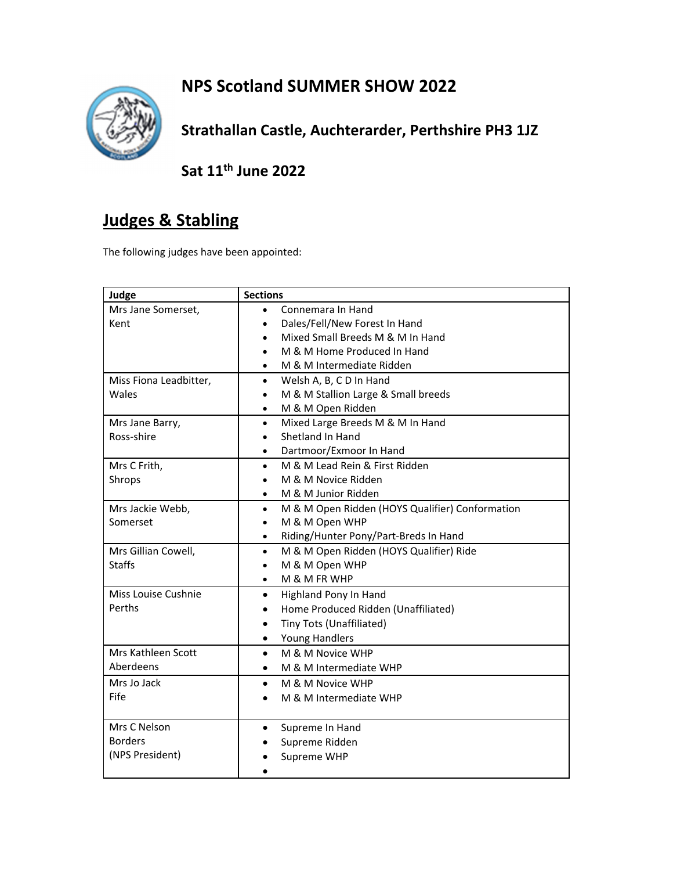## **NPS Scotland SUMMER SHOW 2022**



**Strathallan Castle, Auchterarder, Perthshire PH3 1JZ**

**Sat 11th June 2022**

## **Judges & Stabling**

The following judges have been appointed:

| Judge                  | <b>Sections</b>                                              |
|------------------------|--------------------------------------------------------------|
| Mrs Jane Somerset,     | Connemara In Hand<br>$\bullet$                               |
| Kent                   | Dales/Fell/New Forest In Hand<br>$\bullet$                   |
|                        | Mixed Small Breeds M & M In Hand<br>$\bullet$                |
|                        | M & M Home Produced In Hand<br>$\bullet$                     |
|                        | M & M Intermediate Ridden<br>$\bullet$                       |
| Miss Fiona Leadbitter, | Welsh A, B, C D In Hand<br>$\bullet$                         |
| Wales                  | M & M Stallion Large & Small breeds<br>$\bullet$             |
|                        | M & M Open Ridden                                            |
| Mrs Jane Barry,        | Mixed Large Breeds M & M In Hand<br>$\bullet$                |
| Ross-shire             | Shetland In Hand                                             |
|                        | Dartmoor/Exmoor In Hand                                      |
| Mrs C Frith,           | M & M Lead Rein & First Ridden<br>$\bullet$                  |
| Shrops                 | M & M Novice Ridden                                          |
|                        | M & M Junior Ridden<br>$\bullet$                             |
| Mrs Jackie Webb,       | M & M Open Ridden (HOYS Qualifier) Conformation<br>$\bullet$ |
| Somerset               | M & M Open WHP<br>٠                                          |
|                        | Riding/Hunter Pony/Part-Breds In Hand<br>$\bullet$           |
| Mrs Gillian Cowell,    | M & M Open Ridden (HOYS Qualifier) Ride<br>$\bullet$         |
| <b>Staffs</b>          | M & M Open WHP<br>$\bullet$                                  |
|                        | M & M FR WHP<br>$\bullet$                                    |
| Miss Louise Cushnie    | Highland Pony In Hand<br>٠                                   |
| Perths                 | Home Produced Ridden (Unaffiliated)<br>$\bullet$             |
|                        | Tiny Tots (Unaffiliated)<br>$\bullet$                        |
|                        | Young Handlers<br>$\bullet$                                  |
| Mrs Kathleen Scott     | M & M Novice WHP<br>$\bullet$                                |
| Aberdeens              | M & M Intermediate WHP                                       |
| Mrs Jo Jack            | M & M Novice WHP<br>$\bullet$                                |
| Fife                   | M & M Intermediate WHP                                       |
|                        |                                                              |
| Mrs C Nelson           | Supreme In Hand<br>$\bullet$                                 |
| <b>Borders</b>         | Supreme Ridden                                               |
| (NPS President)        | Supreme WHP                                                  |
|                        |                                                              |